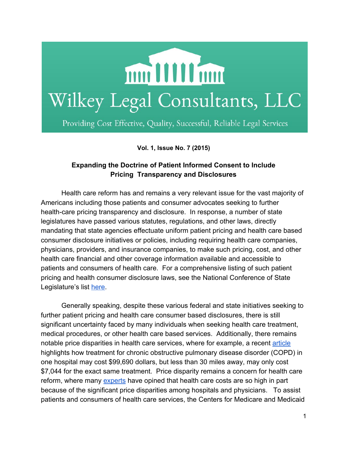

Providing Cost Effective, Quality, Successful, Reliable Legal Services

**Vol. 1, Issue No. 7 (2015)**

## **Expanding the Doctrine of Patient Informed Consent to Include Pricing Transparency and Disclosures**

Health care reform has and remains a very relevant issue for the vast majority of Americans including those patients and consumer advocates seeking to further health-care pricing transparency and disclosure. In response, a number of state legislatures have passed various statutes, regulations, and other laws, directly mandating that state agencies effectuate uniform patient pricing and health care based consumer disclosure initiatives or policies, including requiring health care companies, physicians, providers, and insurance companies, to make such pricing, cost, and other health care financial and other coverage information available and accessible to patients and consumers of health care. For a comprehensive listing of such patient pricing and health consumer disclosure laws, see the National Conference of State Legislature's list [here.](http://www.ncsl.org/research/health/transparency-and-disclosure-health-costs.aspx)

Generally speaking, despite these various federal and state initiatives seeking to further patient pricing and health care consumer based disclosures, there is still significant uncertainty faced by many individuals when seeking health care treatment, medical procedures, or other health care based services. Additionally, there remains notable price disparities in health care services, where for example, a recent [article](http://www.huffingtonpost.com/2013/05/08/hospital-prices-cost-differences_n_3232678.html?1367985666) highlights how treatment for chronic obstructive pulmonary disease disorder (COPD) in one hospital may cost \$99,690 dollars, but less than 30 miles away, may only cost \$7,044 for the exact same treatment. Price disparity remains a concern for health care reform, where many [experts](https://www.bostonglobe.com/business/2015/09/18/price-disparities-among-hospitals-doctors-driving-health-costs-higher-says/WwVrfoyI3d0SQaO2xFfUZP/story.html) have opined that health care costs are so high in part because of the significant price disparities among hospitals and physicians. To assist patients and consumers of health care services, the Centers for Medicare and Medicaid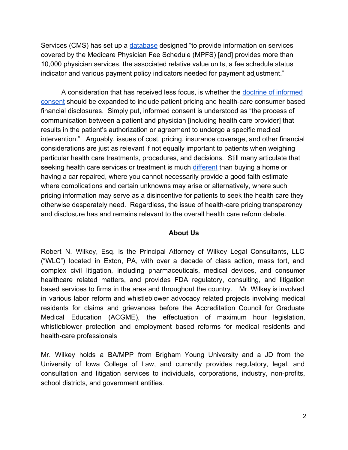Services (CMS) has set up a [database](https://www.cms.gov/apps/physician-fee-schedule/overview.aspx) designed "to provide information on services covered by the Medicare Physician Fee Schedule (MPFS) [and] provides more than 10,000 physician services, the associated relative value units, a fee schedule status indicator and various payment policy indicators needed for payment adjustment."

A consideration that has received less focus, is whether the doctrine of [informed](http://www.templehealth.org/ICTOOLKIT/html/ictoolkitpage1.html) [consent](http://www.templehealth.org/ICTOOLKIT/html/ictoolkitpage1.html) should be expanded to include patient pricing and health-care consumer based financial disclosures. Simply put, informed consent is understood as "the process of communication between a patient and physician [including health care provider] that results in the patient's authorization or agreement to undergo a specific medical intervention." Arguably, issues of cost, pricing, insurance coverage, and other financial considerations are just as relevant if not equally important to patients when weighing particular health care treatments, procedures, and decisions. Still many articulate that seeking health care services or treatment is much [different](http://dukespace.lib.duke.edu/dspace/bitstream/handle/10161/8616/MP_Mortimer.pdf?sequence=1) than buying a home or having a car repaired, where you cannot necessarily provide a good faith estimate where complications and certain unknowns may arise or alternatively, where such pricing information may serve as a disincentive for patients to seek the health care they otherwise desperately need. Regardless, the issue of health-care pricing transparency and disclosure has and remains relevant to the overall health care reform debate.

## **About Us**

Robert N. Wilkey, Esq. is the Principal Attorney of Wilkey Legal Consultants, LLC ("WLC") located in Exton, PA, with over a decade of class action, mass tort, and complex civil litigation, including pharmaceuticals, medical devices, and consumer healthcare related matters, and provides FDA regulatory, consulting, and litigation based services to firms in the area and throughout the country. Mr. Wilkey is involved in various labor reform and whistleblower advocacy related projects involving medical residents for claims and grievances before the Accreditation Council for Graduate Medical Education (ACGME), the effectuation of maximum hour legislation, whistleblower protection and employment based reforms for medical residents and health-care professionals

Mr. Wilkey holds a BA/MPP from Brigham Young University and a JD from the University of Iowa College of Law, and currently provides regulatory, legal, and consultation and litigation services to individuals, corporations, industry, non-profits, school districts, and government entities.